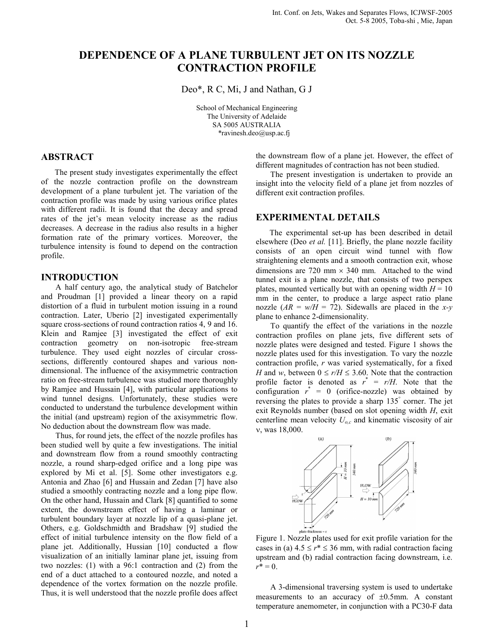# DEPENDENCE OF A PLANE TURBULENT JET ON ITS NOZZLE CONTRACTION PROFILE

Deo\*, R C, Mi, J and Nathan, G J

School of Mechanical Engineering The University of Adelaide SA 5005 AUSTRALIA \*ravinesh.deo@usp.ac.fj

# ABSTRACT

The present study investigates experimentally the effect of the nozzle contraction profile on the downstream development of a plane turbulent jet. The variation of the contraction profile was made by using various orifice plates with different radii. It is found that the decay and spread rates of the jet's mean velocity increase as the radius decreases. A decrease in the radius also results in a higher formation rate of the primary vortices. Moreover, the turbulence intensity is found to depend on the contraction profile.

#### INTRODUCTION

A half century ago, the analytical study of Batchelor and Proudman [1] provided a linear theory on a rapid distortion of a fluid in turbulent motion issuing in a round contraction. Later, Uberio [2] investigated experimentally square cross-sections of round contraction ratios 4, 9 and 16. Klein and Ramjee [3] investigated the effect of exit contraction geometry on non-isotropic free-stream turbulence. They used eight nozzles of circular crosssections, differently contoured shapes and various nondimensional. The influence of the axisymmetric contraction ratio on free-stream turbulence was studied more thoroughly by Ramjee and Hussain [4], with particular applications to wind tunnel designs. Unfortunately, these studies were conducted to understand the turbulence development within the initial (and upstream) region of the axisymmetric flow. No deduction about the downstream flow was made.

Thus, for round jets, the effect of the nozzle profiles has been studied well by quite a few investigations. The initial and downstream flow from a round smoothly contracting nozzle, a round sharp-edged orifice and a long pipe was explored by Mi et al. [5]. Some other investigators e.g. Antonia and Zhao [6] and Hussain and Zedan [7] have also studied a smoothly contracting nozzle and a long pipe flow. On the other hand, Hussain and Clark [8] quantified to some extent, the downstream effect of having a laminar or turbulent boundary layer at nozzle lip of a quasi-plane jet. Others, e.g. Goldschmidth and Bradshaw [9] studied the effect of initial turbulence intensity on the flow field of a plane jet. Additionally, Hussian [10] conducted a flow visualization of an initially laminar plane jet, issuing from two nozzles: (1) with a 96:1 contraction and (2) from the end of a duct attached to a contoured nozzle, and noted a dependence of the vortex formation on the nozzle profile. Thus, it is well understood that the nozzle profile does affect the downstream flow of a plane jet. However, the effect of different magnitudes of contraction has not been studied.

The present investigation is undertaken to provide an insight into the velocity field of a plane jet from nozzles of different exit contraction profiles.

## EXPERIMENTAL DETAILS

The experimental set-up has been described in detail elsewhere (Deo et al. [11]. Briefly, the plane nozzle facility consists of an open circuit wind tunnel with flow straightening elements and a smooth contraction exit, whose dimensions are 720 mm  $\times$  340 mm. Attached to the wind tunnel exit is a plane nozzle, that consists of two perspex plates, mounted vertically but with an opening width  $H = 10$ mm in the center, to produce a large aspect ratio plane nozzle  $(AR = w/H = 72)$ . Sidewalls are placed in the x-y plane to enhance 2-dimensionality.

To quantify the effect of the variations in the nozzle contraction profiles on plane jets, five different sets of nozzle plates were designed and tested. Figure 1 shows the nozzle plates used for this investigation. To vary the nozzle contraction profile, r was varied systematically, for a fixed H and w, between  $0 \le r/H \le 3.60$ . Note that the contraction profile factor is denoted as  $r^* = r/H$ . Note that the configuration  $r^* = 0$  (orifice-nozzle) was obtained by reversing the plates to provide a sharp 135° corner. The jet exit Reynolds number (based on slot opening width H, exit centerline mean velocity  $U_{\alpha c}$  and kinematic viscosity of air ν, was 18,000.



Figure 1. Nozzle plates used for exit profile variation for the cases in (a)  $4.5 \le r^* \le 36$  mm, with radial contraction facing upstream and (b) radial contraction facing downstream, i.e.  $r^* = 0$ .

A 3-dimensional traversing system is used to undertake measurements to an accuracy of  $\pm 0.5$ mm. A constant temperature anemometer, in conjunction with a PC30-F data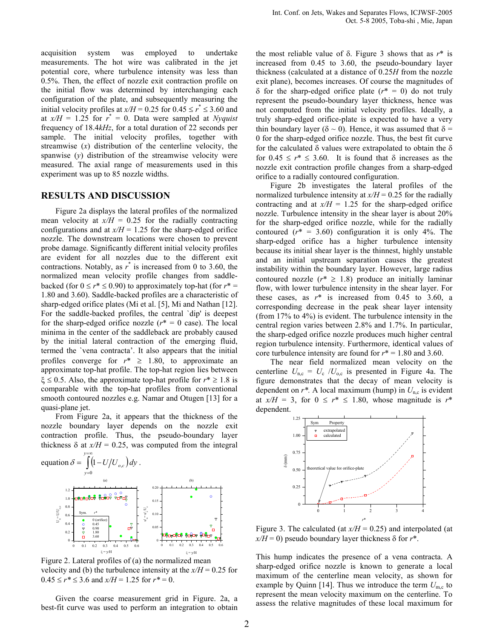acquisition system was employed to undertake measurements. The hot wire was calibrated in the jet potential core, where turbulence intensity was less than 0.5%. Then, the effect of nozzle exit contraction profile on the initial flow was determined by interchanging each configuration of the plate, and subsequently measuring the initial velocity profiles at  $x/H = 0.25$  for  $0.45 \le r^* \le 3.60$  and at  $x/H = 1.25$  for  $r^* = 0$ . Data were sampled at Nyquist frequency of 18.4kHz, for a total duration of 22 seconds per sample. The initial velocity profiles, together with streamwise  $(x)$  distribution of the centerline velocity, the spanwise  $(y)$  distribution of the streamwise velocity were measured. The axial range of measurements used in this experiment was up to 85 nozzle widths.

#### RESULTS AND DISCUSSION

Figure 2a displays the lateral profiles of the normalized mean velocity at  $x/H = 0.25$  for the radially contracting configurations and at  $x/H = 1.25$  for the sharp-edged orifice nozzle. The downstream locations were chosen to prevent probe damage. Significantly different initial velocity profiles are evident for all nozzles due to the different exit contractions. Notably, as  $r^*$  is increased from 0 to 3.60, the normalized mean velocity profile changes from saddlebacked (for  $0 \le r^* \le 0.90$ ) to approximately top-hat (for  $r^* =$ 1.80 and 3.60). Saddle-backed profiles are a characteristic of sharp-edged orifice plates (Mi et al. [5], Mi and Nathan [12]. For the saddle-backed profiles, the central `dip' is deepest for the sharp-edged orifice nozzle ( $r^* = 0$  case). The local minima in the center of the saddleback are probably caused by the initial lateral contraction of the emerging fluid, termed the `vena contracta'. It also appears that the initial profiles converge for  $r^* \geq 1.80$ , to approximate an approximate top-hat profile. The top-hat region lies between  $\xi \le 0.5$ . Also, the approximate top-hat profile for  $r^* \ge 1.8$  is comparable with the top-hat profiles from conventional smooth contoured nozzles e.g. Namar and Otugen [13] for a quasi-plane jet.

From Figure 2a, it appears that the thickness of the nozzle boundary layer depends on the nozzle exit contraction profile. Thus, the pseudo-boundary layer thickness  $\delta$  at  $x/H = 0.25$ , was computed from the integral



Figure 2. Lateral profiles of (a) the normalized mean velocity and (b) the turbulence intensity at the  $x/H = 0.25$  for  $0.45 \le r^* \le 3.6$  and  $x/H = 1.25$  for  $r^* = 0$ .

Given the coarse measurement grid in Figure. 2a, a best-fit curve was used to perform an integration to obtain

the most reliable value of  $\delta$ . Figure 3 shows that as  $r^*$  is increased from 0.45 to 3.60, the pseudo-boundary layer thickness (calculated at a distance of 0.25H from the nozzle exit plane), becomes increases. Of course the magnitudes of δ for the sharp-edged orifice plate (r\* = 0) do not truly represent the pseudo-boundary layer thickness, hence was not computed from the initial velocity profiles. Ideally, a truly sharp-edged orifice-plate is expected to have a very thin boundary layer ( $\delta \sim 0$ ). Hence, it was assumed that  $\delta =$ 0 for the sharp-edged orifice nozzle. Thus, the best fit curve for the calculated  $\delta$  values were extrapolated to obtain the  $\delta$ for  $0.45 \le r^* \le 3.60$ . It is found that  $\delta$  increases as the nozzle exit contraction profile changes from a sharp-edged orifice to a radially contoured configuration.

Figure 2b investigates the lateral profiles of the normalized turbulence intensity at  $x/H = 0.25$  for the radially contracting and at  $x/H = 1.25$  for the sharp-edged orifice nozzle. Turbulence intensity in the shear layer is about 20% for the sharp-edged orifice nozzle, while for the radially contoured  $(r^* = 3.60)$  configuration it is only 4%. The sharp-edged orifice has a higher turbulence intensity because its initial shear layer is the thinnest, highly unstable and an initial upstream separation causes the greatest instability within the boundary layer. However, large radius contoured nozzle  $(r^* \geq 1.8)$  produce an initially laminar flow, with lower turbulence intensity in the shear layer. For these cases, as  $r^*$  is increased from 0.45 to 3.60, a corresponding decrease in the peak shear layer intensity (from 17% to 4%) is evident. The turbulence intensity in the central region varies between 2.8% and 1.7%. In particular, the sharp-edged orifice nozzle produces much higher central region turbulence intensity. Furthermore, identical values of core turbulence intensity are found for  $r^* = 1.80$  and 3.60.

The near field normalized mean velocity on the centerline  $U_{\text{n,c}} = U_{\text{c}} / U_{\text{o,c}}$  is presented in Figure 4a. The figure demonstrates that the decay of mean velocity is dependent on  $r^*$ . A local maximum (hump) in  $U_{nc}$  is evident at  $x/H = 3$ , for  $0 \le r^* \le 1.80$ , whose magnitude is  $r^*$ dependent.



Figure 3. The calculated (at  $x/H = 0.25$ ) and interpolated (at  $x/H = 0$ ) pseudo boundary layer thickness  $\delta$  for  $r^*$ .

This hump indicates the presence of a vena contracta. A sharp-edged orifice nozzle is known to generate a local maximum of the centerline mean velocity, as shown for example by Quinn [14]. Thus we introduce the term  $U_{\text{m.c}}$  to represent the mean velocity maximum on the centerline. To assess the relative magnitudes of these local maximum for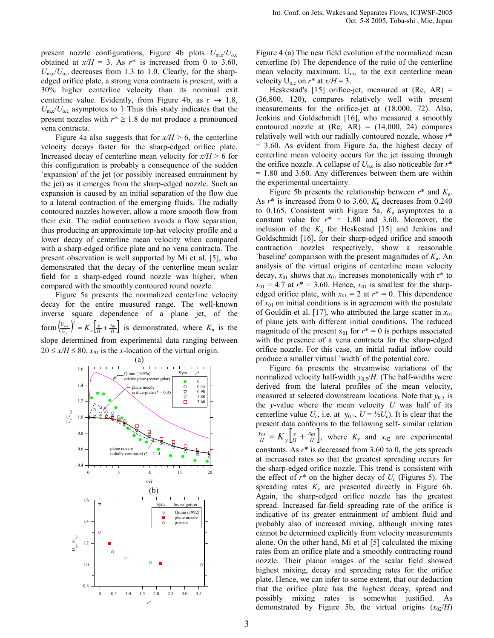present nozzle configurations, Figure 4b plots  $U_{\text{m,c}}/U_{o,\text{c}}$ obtained at  $x/H = 3$ . As  $r^*$  is increased from 0 to 3.60,  $U_{\rm mc}/U_{\rm oc}$  decreases from 1.3 to 1.0. Clearly, for the sharpedged orifice plate, a strong vena contracta is present, with a 30% higher centerline velocity than its nominal exit centerline value. Evidently, from Figure 4b, as  $r \rightarrow 1.8$ ,  $U_{\text{m,c}}/U_{\text{o,c}}$  asymptotes to 1 Thus this study indicates that the present nozzles with  $r^* \geq 1.8$  do not produce a pronounced vena contracta.

Figure 4a also suggests that for  $x/H > 6$ , the centerline velocity decays faster for the sharp-edged orifice plate. Increased decay of centerline mean velocity for  $x/H > 6$  for this configuration is probably a consequence of the sudden `expansion' of the jet (or possibly increased entrainment by the jet) as it emerges from the sharp-edged nozzle. Such an expansion is caused by an initial separation of the flow due to a lateral contraction of the emerging fluids. The radially contoured nozzles however, allow a more smooth flow from their exit. The radial contraction avoids a flow separation, thus producing an approximate top-hat velocity profile and a lower decay of centerline mean velocity when compared with a sharp-edged orifice plate and no vena contracta. The present observation is well supported by Mi et al. [5], who demonstrated that the decay of the centerline mean scalar field for a sharp-edged round nozzle was higher, when compared with the smoothly contoured round nozzle.

Figure 5a presents the normalized centerline velocity decay for the entire measured range. The well-known inverse square dependence of a plane jet, of the form  $\left(\frac{U_{o,c}}{U_c}\right)^2 = K_u \left[\frac{x}{H} + \frac{x_{01}}{H}\right]$  $\left(\frac{U_{o,c}}{U_c}\right)^2 = K_u \left[\frac{x}{H} + \frac{x_{01}}{H}\right]$  is demonstrated, where  $K_u$  is the slope determined from experimental data ranging between  $20 \le x/H \le 80$ ,  $x_{01}$  is the x-location of the virtual origin.



Figure 4 (a) The near field evolution of the normalized mean centerline (b) The dependence of the ratio of the centerline mean velocity maximum,  $U_{m,c}$  to the exit centerline mean velocity  $U_{\text{o.c}}$  on  $r^*$  at  $x/H = 3$ .

Heskestad's [15] orifice-jet, measured at  $(Re, AR)$  = (36,800, 120), compares relatively well with present measurements for the orifice-jet at (18,000, 72). Also, Jenkins and Goldschmidt [16], who measured a smoothly contoured nozzle at  $(Re, AR) = (14,000, 24)$  compares relatively well with our radially contoured nozzle, whose  $r^*$ = 3.60. As evident from Figure 5a, the highest decay of centerline mean velocity occurs for the jet issuing through the orifice nozzle. A collapse of  $U_{\text{nc}}$  is also noticeable for  $r^*$  $= 1.80$  and 3.60. Any differences between them are within the experimental uncertainty.

Figure 5b presents the relationship between  $r^*$  and  $K_u$ . As  $r^*$  is increased from 0 to 3.60,  $K_u$  decreases from 0.240 to 0.165. Consistent with Figure 5a,  $K_u$  asymptotes to a constant value for  $r^* = 1.80$  and 3.60. Moreover, the inclusion of the  $K<sub>u</sub>$  for Heskestad [15] and Jenkins and Goldschmidt [16], for their sharp-edged orifice and smooth contraction nozzles respectively, show a reasonable 'baseline' comparison with the present magnitudes of  $K<sub>u</sub>$ . An analysis of the virtual origins of centerline mean velocity decay,  $x_{01}$  shows that  $x_{01}$  increases monotonically with r<sup>\*</sup> to  $x_{01} = 4.7$  at  $r^* = 3.60$ . Hence,  $x_{01}$  is smallest for the sharpedged orifice plate, with  $x_{01} = 2$  at  $r^* = 0$ . This dependence of  $x_{01}$  on initial conditions is in agreement with the postulate of Gouldin et al. [17], who attributed the large scatter in  $x_{01}$ of plane jets with different initial conditions. The reduced magnitude of the present  $x_{01}$  for  $r^* = 0$  is perhaps associated with the presence of a vena contracta for the sharp-edged orifice nozzle. For this case, an initial radial inflow could produce a smaller virtual `width' of the potential core.

Figure 6a presents the streamwise variations of the normalized velocity half-width  $y_0 s/H$ . (The half-widths were derived from the lateral profiles of the mean velocity, measured at selected downstream locations. Note that  $y_{0.5}$  is the y-value where the mean velocity  $U$  was half of its centerline value  $U_c$ , i.e. at  $y_{0.5}$ ,  $U = \frac{1}{2} U_c$ ). It is clear that the present data conforms to the following self- similar relation  $\left[\frac{x}{H} + \frac{x_{02}}{H}\right],$  $\frac{y_{0.5}}{H} = K_y \left[ \frac{x}{H} + \frac{x_{0.2}}{H} \right]$ , where  $K_y$  and  $x_{0.2}$  are experimental constants. As  $r^*$  is decreased from 3.60 to 0, the jets spreads at increased rates so that the greatest spreading occurs for the sharp-edged orifice nozzle. This trend is consistent with the effect of  $r^*$  on the higher decay of  $U_c$  (Figures 5). The spreading rates  $K<sub>y</sub>$  are presented directly in Figure 6b. Again, the sharp-edged orifice nozzle has the greatest spread. Increased far-field spreading rate of the orifice is indicative of its greater entrainment of ambient fluid and probably also of increased mixing, although mixing rates cannot be determined explicitly from velocity measurements alone. On the other hand, Mi et al [5] calculated the mixing rates from an orifice plate and a smoothly contracting round nozzle. Their planar images of the scalar field showed highest mixing, decay and spreading rates for the orifice plate. Hence, we can infer to some extent, that our deduction that the orifice plate has the highest decay, spread and possibly mixing rates is somewhat justified. As demonstrated by Figure 5b, the virtual origins  $(x_{02}/H)$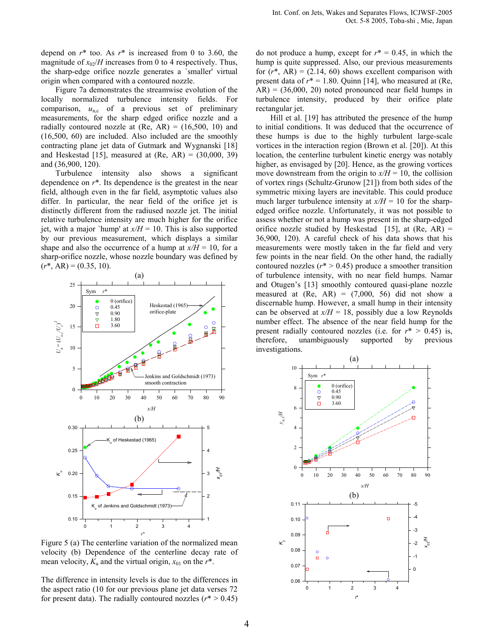depend on  $r^*$  too. As  $r^*$  is increased from 0 to 3.60, the magnitude of  $x_{02}/H$  increases from 0 to 4 respectively. Thus, the sharp-edge orifice nozzle generates a `smaller' virtual origin when compared with a contoured nozzle.

Figure 7a demonstrates the streamwise evolution of the locally normalized turbulence intensity fields. For comparison,  $u_{n,c}$  of a previous set of preliminary measurements, for the sharp edged orifice nozzle and a radially contoured nozzle at  $(Re, AR) = (16,500, 10)$  and (16,500, 60) are included. Also included are the smoothly contracting plane jet data of Gutmark and Wygnanski [18] and Heskestad [15], measured at  $(Re, AR) = (30,000, 39)$ and (36,900, 120).

Turbulence intensity also shows a significant dependence on  $r^*$ . Its dependence is the greatest in the near field, although even in the far field, asymptotic values also differ. In particular, the near field of the orifice jet is distinctly different from the radiused nozzle jet. The initial relative turbulence intensity are much higher for the orifice jet, with a major 'hump' at  $x/H = 10$ . This is also supported by our previous measurement, which displays a similar shape and also the occurrence of a hump at  $x/H = 10$ , for a sharp-orifice nozzle, whose nozzle boundary was defined by  $(r^*, AR) = (0.35, 10).$ 



Figure 5 (a) The centerline variation of the normalized mean velocity (b) Dependence of the centerline decay rate of mean velocity,  $K_u$  and the virtual origin,  $x_{01}$  on the  $r^*$ .

The difference in intensity levels is due to the differences in the aspect ratio (10 for our previous plane jet data verses 72 for present data). The radially contoured nozzles ( $r^* > 0.45$ )

do not produce a hump, except for  $r^* = 0.45$ , in which the hump is quite suppressed. Also, our previous measurements for  $(r^*$ , AR) = (2.14, 60) shows excellent comparison with present data of  $r^* = 1.80$ . Quinn [14], who measured at (Re,  $AR$ ) = (36,000, 20) noted pronounced near field humps in turbulence intensity, produced by their orifice plate rectangular jet.

Hill et al. [19] has attributed the presence of the hump to initial conditions. It was deduced that the occurrence of these humps is due to the highly turbulent large-scale vortices in the interaction region (Brown et al. [20]). At this location, the centerline turbulent kinetic energy was notably higher, as envisaged by [20]. Hence, as the growing vortices move downstream from the origin to  $x/H = 10$ , the collision of vortex rings (Schultz-Grunow [21]) from both sides of the symmetric mixing layers are inevitable. This could produce much larger turbulence intensity at  $x/H = 10$  for the sharpedged orifice nozzle. Unfortunately, it was not possible to assess whether or not a hump was present in the sharp-edged orifice nozzle studied by Heskestad [15], at  $(Re, AR)$  = 36,900, 120). A careful check of his data shows that his measurements were mostly taken in the far field and very few points in the near field. On the other hand, the radially contoured nozzles ( $r^*$  > 0.45) produce a smoother transition of turbulence intensity, with no near field humps. Namar and Otugen's [13] smoothly contoured quasi-plane nozzle measured at  $(Re, AR) = (7,000, 56)$  did not show a discernable hump. However, a small hump in their intensity can be observed at  $x/H = 18$ , possibly due a low Reynolds number effect. The absence of the near field hump for the present radially contoured nozzles (i.e. for  $r^* > 0.45$ ) is, therefore, unambiguously supported by previous investigations.

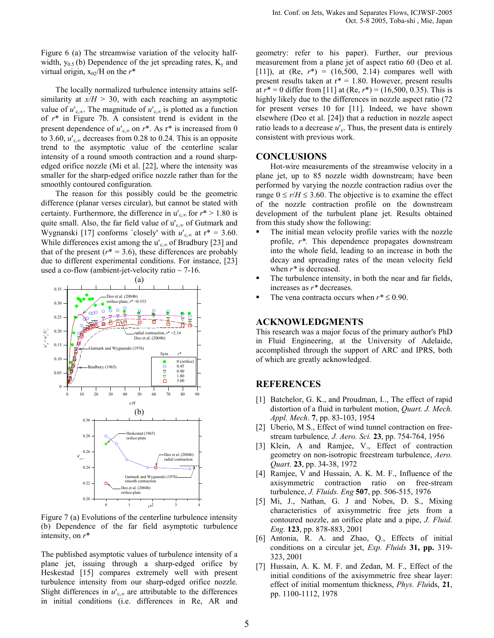Figure 6 (a) The streamwise variation of the velocity halfwidth,  $y_{0.5}$  (b) Dependence of the jet spreading rates,  $K_v$  and virtual origin,  $x_{02}$ /H on the  $r^*$ 

The locally normalized turbulence intensity attains selfsimilarity at  $x/H > 30$ , with each reaching an asymptotic value of  $u'_{c,\infty}$ . The magnitude of  $u'_{c,\infty}$  is plotted as a function of  $r^*$  in Figure 7b. A consistent trend is evident in the present dependence of  $u'_{c,\infty}$  on  $r^*$ . As  $r^*$  is increased from 0 to 3.60,  $u'_{\text{c}}$  decreases from 0.28 to 0.24. This is an opposite trend to the asymptotic value of the centerline scalar intensity of a round smooth contraction and a round sharpedged orifice nozzle (Mi et al. [22], where the intensity was smaller for the sharp-edged orifice nozzle rather than for the smoothly contoured configuration.

The reason for this possibly could be the geometric difference (planar verses circular), but cannot be stated with certainty. Furthermore, the difference in  $u'_{c,\infty}$  for  $r^* > 1.80$  is quite small. Also, the far field value of  $u'_{c\infty}$  of Gutmark and Wygnanski [17] conforms `closely' with  $u'_{c,\infty}$  at  $r^* = 3.60$ . While differences exist among the  $u'_{c,\infty}$  of Bradbury [23] and that of the present ( $r^* = 3.6$ ), these differences are probably due to different experimental conditions. For instance, [23] used a co-flow (ambient-jet-velocity ratio  $\sim$  7-16.



Figure 7 (a) Evolutions of the centerline turbulence intensity (b) Dependence of the far field asymptotic turbulence intensity, on  $r^*$ 

The published asymptotic values of turbulence intensity of a plane jet, issuing through a sharp-edged orifice by Heskestad [15] compares extremely well with present turbulence intensity from our sharp-edged orifice nozzle. Slight differences in  $u'_{c,\infty}$  are attributable to the differences in initial conditions (i.e. differences in Re, AR and

geometry: refer to his paper). Further, our previous measurement from a plane jet of aspect ratio 60 (Deo et al. [11]), at  $(Re, r^*) = (16,500, 2.14)$  compares well with present results taken at  $r^* = 1.80$ . However, present results at  $r^* = 0$  differ from [11] at (Re,  $r^* = (16,500, 0.35)$ . This is highly likely due to the differences in nozzle aspect ratio  $(72)$ for present verses 10 for [11]. Indeed, we have shown elsewhere (Deo et al. [24]) that a reduction in nozzle aspect ratio leads to a decrease  $u'$ <sub>c</sub>. Thus, the present data is entirely consistent with previous work.

#### **CONCLUSIONS**

Hot-wire measurements of the streamwise velocity in a plane jet, up to 85 nozzle width downstream; have been performed by varying the nozzle contraction radius over the range  $0 \le r/H \le 3.60$ . The objective is to examine the effect of the nozzle contraction profile on the downstream development of the turbulent plane jet. Results obtained from this study show the following:

- The initial mean velocity profile varies with the nozzle profile, r\*. This dependence propagates downstream into the whole field, leading to an increase in both the decay and spreading rates of the mean velocity field when  $r^*$  is decreased.
- The turbulence intensity, in both the near and far fields, increases as r\* decreases.
- The vena contracta occurs when  $r^* \leq 0.90$ .

#### ACKNOWLEDGMENTS

This research was a major focus of the primary author's PhD in Fluid Engineering, at the University of Adelaide, accomplished through the support of ARC and IPRS, both of which are greatly acknowledged.

## REFERENCES

- [1] Batchelor, G. K., and Proudman, I.., The effect of rapid distortion of a fluid in turbulent motion, Quart. J. Mech. Appl. Mech. 7, pp. 83-103, 1954
- [2] Uberio, M S., Effect of wind tunnel contraction on freestream turbulence, J. Aero. Sci. 23, pp. 754-764, 1956
- [3] Klein, A and Ramjee, V., Effect of contraction geometry on non-isotropic freestream turbulence, Aero. Quart. 23, pp. 34-38, 1972
- [4] Ramjee, V and Hussain, A. K. M. F., Influence of the axisymmetric contraction ratio on free-stream turbulence, J. Fluids. Eng 507, pp. 506-515, 1976
- [5] Mi, J., Nathan, G. J and Nobes, D. S., Mixing characteristics of axisymmetric free jets from a contoured nozzle, an orifice plate and a pipe, J. Fluid. Eng. 123, pp. 878-883, 2001
- [6] Antonia, R. A. and Zhao, Q., Effects of initial conditions on a circular jet, *Exp. Fluids* 31, pp. 319-323, 2001
- [7] Hussain, A. K. M. F. and Zedan, M. F., Effect of the initial conditions of the axisymmetric free shear layer: effect of initial momentum thickness, Phys. Fluids, 21, pp. 1100-1112, 1978